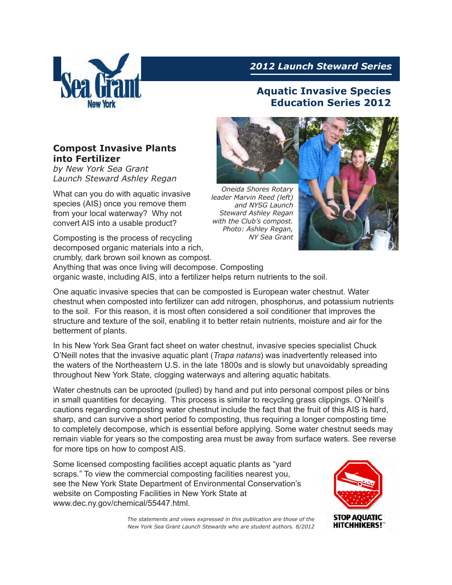

## *2012 Launch Steward Series*

# **Aquatic Invasive Species Education Series 2012**

#### **Compost Invasive Plants into Fertilizer**

*by New York Sea Grant Launch Steward Ashley Regan*

What can you do with aquatic invasive species (AIS) once you remove them from your local waterway? Why not convert AIS into a usable product?

Composting is the process of recycling decomposed organic materials into a rich, crumbly, dark brown soil known as compost. Anything that was once living will decompose. Composting



*leader Marvin Reed (left) and NYSG Launch Steward Ashley Regan with the Club's compost. Photo: Ashley Regan, NY Sea Grant*



organic waste, including AIS, into a fertilizer helps return nutrients to the soil.

One aquatic invasive species that can be composted is European water chestnut. Water chestnut when composted into fertilizer can add nitrogen, phosphorus, and potassium nutrients to the soil. For this reason, it is most often considered a soil conditioner that improves the structure and texture of the soil, enabling it to better retain nutrients, moisture and air for the betterment of plants.

In his New York Sea Grant fact sheet on water chestnut, invasive species specialist Chuck O'Neill notes that the invasive aquatic plant (*Trapa natans*) was inadvertently released into the waters of the Northeastern U.S. in the late 1800s and is slowly but unavoidably spreading throughout New York State, clogging waterways and altering aquatic habitats.

Water chestnuts can be uprooted (pulled) by hand and put into personal compost piles or bins in small quantities for decaying. This process is similar to recycling grass clippings. O'Neill's cautions regarding composting water chestnut include the fact that the fruit of this AIS is hard, sharp, and can survive a short period fo composting, thus requiring a longer composting time to completely decompose, which is essential before applying. Some water chestnut seeds may remain viable for years so the composting area must be away from surface waters. See reverse for more tips on how to compost AIS.

Some licensed composting facilities accept aquatic plants as "yard scraps." To view the commercial composting facilities nearest you, see the New York State Department of Environmental Conservation's website on Composting Facilities in New York State at www.dec.ny.gov/chemical/55447.html.



*The statements and views expressed in this publication are those of the New York Sea Grant Launch Stewards who are student authors. 8/2012*